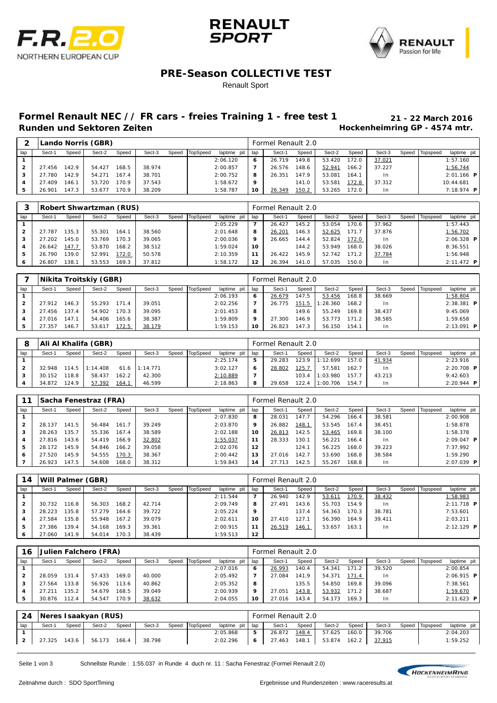





## **PRE-Season COLLECTIVE TEST**

#### Renault Sport

## **Formel Renault NEC // FR cars - freies Training 1 - free test 1 21 - 22 March 2016**

**Hockenheimring GP - 4574 mtr.** 

|     |        |       | Lando Norris (GBR) |       |        |                |             |       | Formel Renault 2.0 |       |        |       |        |       |          |                   |
|-----|--------|-------|--------------------|-------|--------|----------------|-------------|-------|--------------------|-------|--------|-------|--------|-------|----------|-------------------|
| lap | Sect-1 | Speed | Sect-2             | Speed | Sect-3 | Speed TopSpeed | laptime pit | I lap | Sect-1             | Speed | Sect-2 | Speed | Sect-3 | Speed | Topspeed | laptime pit       |
|     |        |       |                    |       |        |                | 2:06.120    | 6     | 26.719             | 149.8 | 53.420 | 172.0 | 37.021 |       |          | 1:57.160          |
|     | 27.456 | 142.9 | 54.427             | 68.5  | 38.974 |                | 2:00.857    |       | 26.576             | 148.6 | 52.941 | 166.2 | 37.227 |       |          | 1:56.744          |
| з   | 27.780 | 142.9 | 54.271             | 67.4  | 38.701 |                | 2:00.752    | 8     | 26.351             | 147.9 | 53.081 | 164.1 | I n    |       |          | $2:01.166$ P      |
|     | 27.409 | 146.1 | 53.720             | 70.9  | 37.543 |                | 1:58.672    | 9     |                    | 141.0 | 53.581 | 172.8 | 37.312 |       |          | 10:44.681         |
|     | 26.901 | 147.3 | 53.677             | 70.9  | 38.209 |                | 1:58.787    | 10    | 26.349             | 150.2 | 53.265 | 172.0 | I n    |       |          | 7:18.974 <b>P</b> |

| ິ            |        |       | Robert Shwartzman (RUS) |       |        |       |          |             |     | Formel Renault 2.0 |       |        |       |        |       |          |              |  |
|--------------|--------|-------|-------------------------|-------|--------|-------|----------|-------------|-----|--------------------|-------|--------|-------|--------|-------|----------|--------------|--|
| lap          | Sect-1 | Speed | Sect-2                  | Speed | Sect-3 | Speed | TopSpeed | laptime pit | lap | Sect-1             | Speed | Sect-2 | Speed | Sect-3 | Speed | Topspeed | laptime pit  |  |
|              |        |       |                         |       |        |       |          | 2:05.229    |     | 26.427             | 145.2 | 53.054 | 70.6  | 37.962 |       |          | 1:57.443     |  |
| $\mathbf{2}$ | 27.787 | 135.3 | 55.301                  | 164.1 | 38.560 |       |          | 2:01.648    | 8   | 26.201             | 146.3 | 52.625 | 171.7 | 37.876 |       |          | 1:56.702     |  |
| з            | 27.202 | 145.0 | 53.769                  | 170.3 | 39.065 |       |          | 2:00.036    | 9   | 26.665             | 144.4 | 52.824 | 172.0 | I n    |       |          | $2:06.328$ P |  |
| 4            | 26.642 | 147.7 | 53.870                  | 168.2 | 38.512 |       |          | 1:59.024    | 10  |                    | 144.2 | 53.949 | 168.0 | 38.026 |       |          | 8:36.551     |  |
| 5            | 26.790 | 139.0 | 52.991                  | 172.0 | 50.578 |       |          | 2:10.359    |     | 26.422             | 145.9 | 52.742 | 171.2 | 37.784 |       |          | 1:56.948     |  |
| 6            | 26.807 | 138.1 | 53.553                  | 169.3 | 37.812 |       |          | 1:58.172    | 12  | 26.394             | 141.0 | 57.035 | 50.0  | I n    |       |          | $2:11.472$ P |  |

|     |        |       | Nikita Troitskiy (GBR) |       |        |                |             |     | Formel Renault 2.0 |       |          |       |        |       |          |                     |
|-----|--------|-------|------------------------|-------|--------|----------------|-------------|-----|--------------------|-------|----------|-------|--------|-------|----------|---------------------|
| lap | Sect-1 | Speed | Sect-2                 | Speed | Sect-3 | Speed TopSpeed | laptime pit | lap | Sect-1             | Speed | Sect-2   | Speed | Sect-3 | Speed | Topspeed | laptime pit         |
|     |        |       |                        |       |        |                | 2:06.193    | 6   | 26.679             | 147.5 | 53.456   | 168.8 | 38.669 |       |          | 1:58.804            |
|     | 27.912 | 146.3 | 55.293                 | 171.4 | 39.051 |                | 2:02.256    |     | 26.775             | 151.5 | 1:28.360 | 168.2 | In.    |       |          | $2:38.381$ P        |
|     | 27.456 | 137.4 | 54.902                 | 170.3 | 39.095 |                | 2:01.453    | 8   |                    | 149.6 | 55.249   | 169.8 | 38.437 |       |          | 9:45.069            |
|     | 27.016 | 147.  | 54.406                 | 165.6 | 38.387 |                | 1:59.809    | 9   | 27.300             | 146.9 | 53.773   | 171.2 | 38.585 |       |          | 1:59.658            |
|     | 27.357 | 146.7 | 53.617                 | 172.5 | 38.179 |                | 1:59.153    | 10  | 26.823             | 147.3 | 56.150   | 154.1 | In.    |       |          | $2:13.091$ <b>P</b> |

| 8   |        |       | Ali Al Khalifa (GBR) |               |                 |       |                 |             |     | Formel Renault 2.0 |       |          |       |        |       |          |              |
|-----|--------|-------|----------------------|---------------|-----------------|-------|-----------------|-------------|-----|--------------------|-------|----------|-------|--------|-------|----------|--------------|
| lap | Sect-1 | Speed | Sect-2               | Speed         | Sect-3          | Speed | <b>TopSpeed</b> | laptime pit | lap | Sect-1             | Speed | Sect-2   | Speed | Sect-3 | Speed | Topspeed | laptime pit  |
|     |        |       |                      |               |                 |       |                 | 2:25.174    | 5   | 29.283             | 123.9 | 1:12.699 | 157.0 | 41.934 |       |          | 2:23.916     |
| 2   | 32.948 | 114.5 | 1:14.408             |               | $61.6$ 1:14.771 |       |                 | 3:02.127    | 6   | 28.802             | 125.7 | 57.581   | 162.7 | l n    |       |          | $2:20.708$ P |
|     | 30.152 | 18.8  | 58.437               | 162.2         | 42.300          |       |                 | 2:10.889    | –   |                    | 103.4 | 1:03.980 | 157.7 | 43.213 |       |          | 9:42.603     |
|     | 34.872 | 124.9 | 57.392               | <u> 164.1</u> | 46.599          |       |                 | 2:18.863    | 8   | 29.658             | 22.4  | 1:00.706 | 154.7 | l n    |       |          | $2:20.944$ P |

|                |            |       | Sacha Fenestraz (FRA) |       |        |       |          |             |     | Formel Renault 2.0 |       |        |       |                |       |          |                     |  |
|----------------|------------|-------|-----------------------|-------|--------|-------|----------|-------------|-----|--------------------|-------|--------|-------|----------------|-------|----------|---------------------|--|
| lap            | Sect-1     | Speed | Sect-2                | Speed | Sect-3 | Speed | TopSpeed | laptime pit | lap | Sect-1             | Speed | Sect-2 | Speed | Sect-3         | Speed | Topspeed | laptime pit         |  |
|                |            |       |                       |       |        |       |          | 2:07.830    | 8   | 28.031             | 147.7 | 54.296 | 166.4 | 38.581         |       |          | 2:00.908            |  |
| $\overline{2}$ | 28.137     | 141.5 | 56.484                | 161.  | 39.249 |       |          | 2:03.870    | 9   | 26.882             | 148.1 | 53.545 | 167.4 | 38.451         |       |          | 1:58.878            |  |
| 3              | 28.263     | 135.7 | 55.336                | 167.4 | 38.589 |       |          | 2:02.188    | 10  | 26.813             | 142.5 | 53.465 | 169.8 | 38.100         |       |          | 1:58.378            |  |
| 4              | 27.816     | 143.6 | 54.419                | 166.9 | 32.802 |       |          | 1:55.037    | 11  | 28.333             | 130.1 | 56.221 | 166.4 | 1 <sub>n</sub> |       |          | $2:09.047$ <b>P</b> |  |
| 5              | 72<br>28.1 | 145.9 | 54.846                | 166.2 | 39.058 |       |          | 2:02.076    | 12  |                    | 124.7 | 56.225 | 168.0 | 39.223         |       |          | 7:37.992            |  |
| 6              | 27.520     | 145.9 | 54.555                | 170.3 | 38.367 |       |          | 2:00.442    | 13  | 27.016             | 142.7 | 53.690 | 168.8 | 38.584         |       |          | 1:59.290            |  |
|                | 26.923     | 147.5 | 54.608                | 168.0 | 38.312 |       |          | 1:59.843    | 14  | 27.713             | 142.5 | 55.267 | 168.8 | I n            |       |          | $2:07.039$ <b>P</b> |  |

| 14  |        |       | Will Palmer (GBR) |       |        |       |          |             |     | Formel Renault 2.0 |               |        |       |                |       |          |              |  |
|-----|--------|-------|-------------------|-------|--------|-------|----------|-------------|-----|--------------------|---------------|--------|-------|----------------|-------|----------|--------------|--|
| lap | Sect-1 | Speed | Sect-2            | Speed | Sect-3 | Speed | TopSpeed | laptime pit | lap | Sect-1             | Speed         | Sect-2 | Speed | Sect-3         | Speed | Topspeed | laptime pit  |  |
|     |        |       |                   |       |        |       |          | 2:11.544    |     | 26.940             | 142.9         | 53.611 | 170.9 | 38.432         |       |          | 1:58.983     |  |
| 2   | 30.732 | 116.8 | 56.303            | 168.2 | 42.714 |       |          | 2:09.749    | 8   | 27.491             | 143.6         | 55.703 | 154.9 | 1 <sub>n</sub> |       |          | $2:11.718$ P |  |
|     | 28.223 | 135.8 | 57.279            | 164.6 | 39.722 |       |          | 2:05.224    | 9   |                    | 137.4         | 54.363 | 170.3 | 38.781         |       |          | 7:53.601     |  |
| 4   | 27.584 | 135.8 | 55.948            | 167.2 | 39.079 |       |          | 2:02.611    | 10  | 27.410             | 127.7         | 56.390 | 164.9 | 39.411         |       |          | 2:03.211     |  |
| 5   | 27.386 | 139.4 | 54.168            | 169.3 | 39.361 |       |          | 2:00.915    | 11  | 26.519             | <u> 146.1</u> | 53.657 | 163.1 | 1 <sub>n</sub> |       |          | $2:12.129$ P |  |
| ь   | 27.060 | 141.9 | 54.014            | 170.3 | 38.439 |       |          | 1:59.513    | 12  |                    |               |        |       |                |       |          |              |  |

| 16  |        |       | Julien Falchero (FRA) |       |        |       |          |             |     | Formel Renault 2.0 |       |        |       |                |       |          |              |
|-----|--------|-------|-----------------------|-------|--------|-------|----------|-------------|-----|--------------------|-------|--------|-------|----------------|-------|----------|--------------|
| lap | Sect-1 | Speed | Sect-2                | Speed | Sect-3 | Speed | TopSpeed | laptime pit | lap | Sect-1             | Speed | Sect-2 | Speed | Sect-3         | Speed | Topspeed | laptime pit  |
|     |        |       |                       |       |        |       |          | 2:07.016    | 6   | 26.993             | 140.4 | 54.341 | 171.2 | 39.520         |       |          | 2:00.854     |
| 2   | 28.059 | 131.4 | 57.433                | 169.0 | 40.000 |       |          | 2:05.492    |     | 27.084             | 141.9 | 54.371 | 171.4 | 1 <sub>n</sub> |       |          | $2:06.915$ P |
| 3   | 27.564 | 133.8 | 56.926                | 113.6 | 40.862 |       |          | 2:05.352    | 8   |                    | 135.5 | 54.850 | 169.8 | 39.096         |       |          | 7:38.561     |
| 4   | 27.21  | 135.2 | 54.679                | 168.5 | 39.049 |       |          | 2:00.939    | 9   | 27.051             | 143.8 | 53.932 | 171.2 | 38.687         |       |          | 1:59.670     |
|     | 30.876 | 112.4 | 54.547                | 170.9 | 38.632 |       |          | 2:04.055    | 10  | 27.016             | 143.4 | 54.173 | 69.3  | 1 <sub>n</sub> |       |          | $2:11.623$ P |

| -24 |        |       | Neres I saakyan (RUS) |       |        |                |               |     | Formel Renault 2.0 |       |        |       |        |                |               |
|-----|--------|-------|-----------------------|-------|--------|----------------|---------------|-----|--------------------|-------|--------|-------|--------|----------------|---------------|
| lap | Sect-1 | Speed | Sect-2                | Speed | Sect-3 | Speed TopSpeed | laptime pit I | lap | Sect-1             | Speed | Sect-2 | Speed | Sect-3 | Speed Topspeed | laptime pit I |
|     |        |       |                       |       |        |                | 2:05.868      | 5   | 26.872             | 148.4 | 57.625 | 160.0 | 39.706 |                | 2:04.203      |
|     | 27.325 | 143.6 | $56.173$ $166.4$      |       | 38.798 |                | 2:02.296      | 6   | 27.463             | 148.1 | 53.874 | 162.2 | 37.915 |                | 1:59.252      |

Seite 1 von 3 Schnellste Runde : 1:55.037 in Runde 4 duch nr. 11 : Sacha Fenestraz (Formel Renault 2.0)

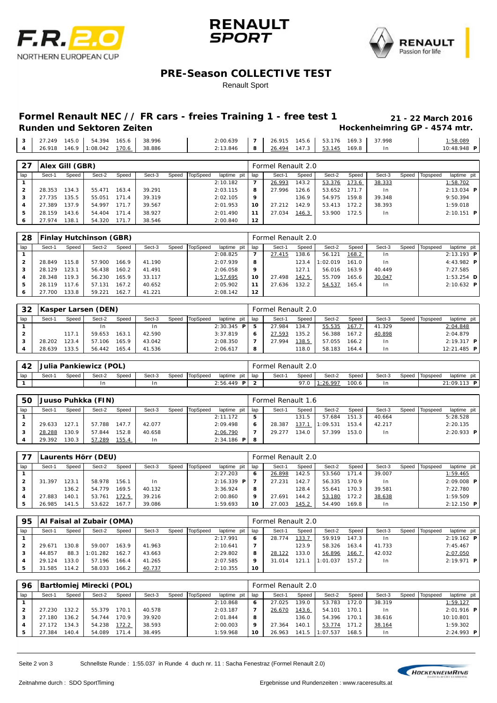





### **PRE-Season COLLECTIVE TEST**

#### Renault Sport

## **Formel Renault NEC // FR cars - freies Training 1 - free test 1 21 - 22 March 2016**

| Runden und Sektoren Zeiten               |  |  |                                             |  |  |  |  | Hockenheimring GP - 4574 mtr. |
|------------------------------------------|--|--|---------------------------------------------|--|--|--|--|-------------------------------|
| 3   27.249 145.0   54.394 165.6   38.996 |  |  | 2:00.639 7 26.915 145.6 53.176 169.3 37.998 |  |  |  |  | 1:58.089                      |

|              | 26.918 | 146.9           | 11:08.042 | 170.6 | 38.886 |       |          | 2:13.846    | 8              | 26.494             | 147.3 | 53.145 | 169.8 | I n    |       |          | 10:48.948 PI        |
|--------------|--------|-----------------|-----------|-------|--------|-------|----------|-------------|----------------|--------------------|-------|--------|-------|--------|-------|----------|---------------------|
|              |        |                 |           |       |        |       |          |             |                |                    |       |        |       |        |       |          |                     |
| 27           |        | Alex Gill (GBR) |           |       |        |       |          |             |                | Formel Renault 2.0 |       |        |       |        |       |          |                     |
| lap          | Sect-1 | Speed           | Sect-2    | Speed | Sect-3 | Speed | TopSpeed | laptime pit | lap            | Sect-1             | Speed | Sect-2 | Speed | Sect-3 | Speed | Topspeed | laptime pit         |
|              |        |                 |           |       |        |       |          | 2:10.182    | $\overline{7}$ | 26.993             | 143.2 | 53.376 | 173.6 | 38.333 |       |          | 1:58.702            |
| $\mathbf{2}$ | 28.353 | 134.3           | 55.471    | 163.4 | 39.291 |       |          | 2:03.115    | 8              | 27.996             | 126.6 | 53.652 | 171.7 | I n    |       |          | $2:13.034$ <b>P</b> |
| 3            | 27.735 | 135.5           | 55.051    | 171.4 | 39.319 |       |          | 2:02.105    | 9              |                    | 136.9 | 54.975 | 159.8 | 39.348 |       |          | 9:50.394            |
| 4            | 27.389 | 137.9           | 54.997    | 171.7 | 39.567 |       |          | 2:01.953    | 10             | 27.212             | 142.9 | 53.413 | 172.2 | 38.393 |       |          | 1:59.018            |
| 5            | 28.159 | 143.6           | 54.404    | 171.4 | 38.927 |       |          | 2:01.490    | 11             | 27.034             | 146.3 | 53.900 | 172.5 | I n    |       |          | $2:10.151$ <b>P</b> |
| 6            | 27.974 | 138.1           | 54.320    | 171.7 | 38.546 |       |          | 2:00.840    | 12             |                    |       |        |       |        |       |          |                     |

| 28           |        |       | Finlay Hutchinson (GBR) |       |        |       |          |             |     | Formel Renault 2.0 |       |          |       |                |       |          |                         |  |
|--------------|--------|-------|-------------------------|-------|--------|-------|----------|-------------|-----|--------------------|-------|----------|-------|----------------|-------|----------|-------------------------|--|
| lap          | Sect-1 | Speed | Sect-2                  | Speed | Sect-3 | Speed | TopSpeed | laptime pit | lap | Sect-1             | Speed | Sect-2   | Speed | Sect-3         | Speed | Topspeed | laptime pit             |  |
|              |        |       |                         |       |        |       |          | 2:08.825    |     | 27.415             | 38.6  | 56.121   | 168.2 | 1 <sub>n</sub> |       |          | $2:13.193$ P            |  |
| $\mathbf{2}$ | 28.849 | 115.8 | 57.900                  | 166.9 | 41.190 |       |          | 2:07.939    | 8   |                    | 123.4 | 1:02.019 | 161.0 | 1 <sub>n</sub> |       |          | 4:43.982 <b>P</b>       |  |
| з            | 28.129 | 123.1 | 56.438                  | 160.2 | 41.491 |       |          | 2:06.058    | 9   |                    | 127.1 | 56.016   | 163.9 | 40.449         |       |          | 7:27.585                |  |
|              | 28.348 | 119.3 | 56.230                  | 165.9 | 33.117 |       |          | 1:57.695    | 10  | 27.498             | 142.5 | 55.709   | 165.6 | 30.047         |       |          | 1:53.254 $\blacksquare$ |  |
| 5            | 28.119 | 17.6  | 57.131                  | 167.2 | 40.652 |       |          | 2:05.902    | 11  | 27.636             | 132.2 | 54.537   | 165.4 | 1 <sub>n</sub> |       |          | $2:10.632$ P            |  |
| ь            | 27.700 | 33.8  | 59.221                  | 162.7 | 41.221 |       |          | 2:08.142    | 12  |                    |       |          |       |                |       |          |                         |  |

| 32  |        |       | Kasper Larsen (DEN) |       |        |       |                 |              |     | Formel Renault 2.0 |       |        |       |        |       |                 |                    |
|-----|--------|-------|---------------------|-------|--------|-------|-----------------|--------------|-----|--------------------|-------|--------|-------|--------|-------|-----------------|--------------------|
| lap | Sect-1 | Speed | Sect-2              | Speed | Sect-3 | Speed | <b>TopSpeed</b> | laptime pit  | lap | Sect-1             | Speed | Sect-2 | Speed | Sect-3 | Speed | <b>Topspeed</b> | laptime pit        |
|     |        |       |                     |       | I n    |       |                 | $2:30.345$ P | 5   | 27.984             | 134.7 | 55.535 | 167.7 | 41.329 |       |                 | 2:04.848           |
|     |        | 117.  | 59.653              | 163.  | 42.590 |       |                 | 3:37.819     | 6   | 27.593             | 35.2  | 56.388 | 167.2 | 40.898 |       |                 | 2:04.879           |
| з   | 28.202 | 23.4  | 57.106              | 165.9 | 43.042 |       |                 | 2:08.350     |     | 27.994             | 138.5 | 57.055 | 166.2 | I n    |       |                 | $2:19.317$ P       |
|     | 28.639 | '33.5 | 56.442              | 165.4 | 41.536 |       |                 | 2:06.617     | 8   |                    | 118.0 | 58.183 | 164.4 | 1n     |       |                 | 12:21.485 <b>P</b> |

| 42  | Julia Pankiewicz (POL) |       |        |       |        |  |                |              |  |     | Formel Renault 2.0 |       |          |       |        |                |               |  |
|-----|------------------------|-------|--------|-------|--------|--|----------------|--------------|--|-----|--------------------|-------|----------|-------|--------|----------------|---------------|--|
| lap | Sect-                  | Speed | Sect-2 | Speed | Sect-3 |  | Speed TopSpeed | laptime pit  |  | lap | Sect-              | Speed | Sect-2   | Speed | Sect-3 | Speed Topspeed | laptime pit   |  |
|     |                        |       |        |       |        |  |                | $2:56.449$ P |  |     |                    | 97.0  | : 26.997 | 100.6 |        |                | $21:09.113$ P |  |

| 50  | Juuso Puhkka (FIN) |       |        |       |        |  |                |                | Formel Renault 1.6 |        |       |          |       |        |  |                |               |  |  |  |
|-----|--------------------|-------|--------|-------|--------|--|----------------|----------------|--------------------|--------|-------|----------|-------|--------|--|----------------|---------------|--|--|--|
| lap | Sect-1             | Speed | Sect-2 | Speed | Sect-3 |  | Speed TopSpeed | laptime pit    | lap                | Sect-1 | Speed | Sect-2   | Speed | Sect-3 |  | Speed Topspeed | laptime pit   |  |  |  |
|     |                    |       |        |       |        |  |                | 2:11.172       | 5                  |        | 131.5 | 57.684   | 151.3 | 40.664 |  |                | 5:28.528      |  |  |  |
|     | 29.633             | 127.1 | 57.788 | 147.7 | 42.077 |  |                | 2:09.498       | 6                  | 28.387 | 137.7 | 1:09.531 | 153.4 | 42.217 |  |                | 2:20.135      |  |  |  |
|     | 28.288             | 130.9 | 57.844 | 152.8 | 40.658 |  |                | 2:06.790       |                    | 29.277 | 134.0 | 57.399   | 153.0 | I n    |  |                | $2: 20.933$ P |  |  |  |
|     | 29.392             | 130.3 | 57.289 | 155.4 | l n    |  |                | $2:34.186$ P 8 |                    |        |       |          |       |        |  |                |               |  |  |  |

|                | Laurents Hörr (DEU) |       |        |       |        |       |          |               | Formel Renault 2.0 |        |       |        |       |        |       |          |              |  |
|----------------|---------------------|-------|--------|-------|--------|-------|----------|---------------|--------------------|--------|-------|--------|-------|--------|-------|----------|--------------|--|
| lap            | Sect-1              | Speed | Sect-2 | Speed | Sect-3 | Speed | TopSpeed | laptime pit   | lap                | Sect-1 | Speed | Sect-2 | Speed | Sect-3 | Speed | Topspeed | laptime pit  |  |
|                |                     |       |        |       |        |       |          | 2:27.203      | 6                  | 26.898 | 142.5 | 53.560 | 171.4 | 39.007 |       |          | 1:59.465     |  |
| $\overline{2}$ | 31.397              | 123.1 | 58.978 | 156.1 | l n    |       |          | 2:16.339<br>P |                    | 27.231 | 142.7 | 56.335 | 170.9 | 1n     |       |          | $2:09.008$ P |  |
|                |                     | 136.2 | 54.779 | 169.5 | 40.132 |       |          | 3:36.924      | 8                  |        | 128.4 | 55.641 | 170.3 | 39.581 |       |          | 7:22.780     |  |
|                | 27.883              | 140.  | 53.761 | 72.5  | 39.216 |       |          | 2:00.860      | 9                  | 27.691 | 144.2 | 53.180 | 172.2 | 38.638 |       |          | 1:59.509     |  |
| 5              | 26.985              | 141.5 | 53.622 | 167.  | 39.086 |       |          | 1:59.693      | 10                 | 27.003 | 145.2 | 54.490 | 169.8 | 1n     |       |          | $2:12.150$ P |  |

| 95  | Al Faisal al Zubair (OMA) |        |          |       |        |  |                |             | Formel Renault 2.0 |        |                |          |       |        |       |          |              |  |  |
|-----|---------------------------|--------|----------|-------|--------|--|----------------|-------------|--------------------|--------|----------------|----------|-------|--------|-------|----------|--------------|--|--|
| lap | Sect-1                    | Speed  | Sect-2   | Speed | Sect-3 |  | Speed TopSpeed | laptime pit | lap                | Sect-1 | Speed          | Sect-2   | Speed | Sect-3 | Speed | Topspeed | laptime pit  |  |  |
|     |                           |        |          |       |        |  |                | 2:17.991    | 6                  | 28.774 | <u> 133. 7</u> | 59.919   | 147.3 | 1n     |       |          | $2:19.162$ P |  |  |
| 2   | 29.671                    | 30.8   | 59.007   | 163.9 | 41.963 |  |                | 2:10.641    |                    |        | 123.9          | 58.326   | 163.4 | 41.733 |       |          | 7:45.467     |  |  |
|     | 44.857                    | 88.3   | 1:01.282 | 162.7 | 43.663 |  |                | 2:29.802    | 8                  | 28.122 | 133.0          | 56.896   | 166.7 | 42.032 |       |          | 2:07.050     |  |  |
|     | 29.124                    | ' 33.0 | 57.196   | 166.4 | 41.265 |  |                | 2:07.585    | ۰                  | 31.014 | 121.           | : 01.037 | 157.2 | l n    |       |          | $2:19.971$ P |  |  |
|     | 31.585                    | 14.2   | 58.033   | 166.2 | 40.737 |  |                | 2:10.355    | 10                 |        |                |          |       |        |       |          |              |  |  |

| 96  | Bartłomiej Mirecki (POL) |       |        |       |        |       |          |             |     | Formel Renault 2.0 |                        |          |       |        |       |          |               |  |  |  |
|-----|--------------------------|-------|--------|-------|--------|-------|----------|-------------|-----|--------------------|------------------------|----------|-------|--------|-------|----------|---------------|--|--|--|
| lap | Sect-1                   | Speed | Sect-2 | Speed | Sect-3 | Speed | TopSpeed | laptime pit | lap | Sect-1             | Speed                  | Sect-2   | Speed | Sect-3 | Speed | Topspeed | laptime pit   |  |  |  |
|     |                          |       |        |       |        |       |          | 2:10.868    | 6   | 27.025             | 139.0                  | 53.783   | 172.0 | 38.319 |       |          | 1:59.127      |  |  |  |
| 2   | 27.230                   | 132.2 | 55.379 | 170.7 | 40.578 |       |          | 2:03.187    |     | 26.670             | 143.6                  | 54.101   | 70.1  | I n    |       |          | $2:01.916$ P  |  |  |  |
| 3   | 27.180                   | 136.2 | 54.744 | 170.9 | 39.920 |       |          | 2:01.844    | 8   |                    | 136.0                  | 54.396   | 170.1 | 38.616 |       |          | 10:10.801     |  |  |  |
|     | 27.172                   | 134.3 | 54.238 | 172.2 | 38.593 |       |          | 2:00.003    | 9   | 27.364             | 140.1                  | 53.774   | 171.2 | 38.164 |       |          | 1:59.302      |  |  |  |
| 5   | 27.384                   | 140.4 | 54.089 | 171.4 | 38.495 |       |          | 1:59.968    | 10  | 26.963             | 141.<br>. $\mathbf{b}$ | : 07.537 | 168.5 | I n    |       |          | $2: 24.993$ P |  |  |  |

Seite 2 von 3 Schnellste Runde : 1:55.037 in Runde 4 duch nr. 11 : Sacha Fenestraz (Formel Renault 2.0)